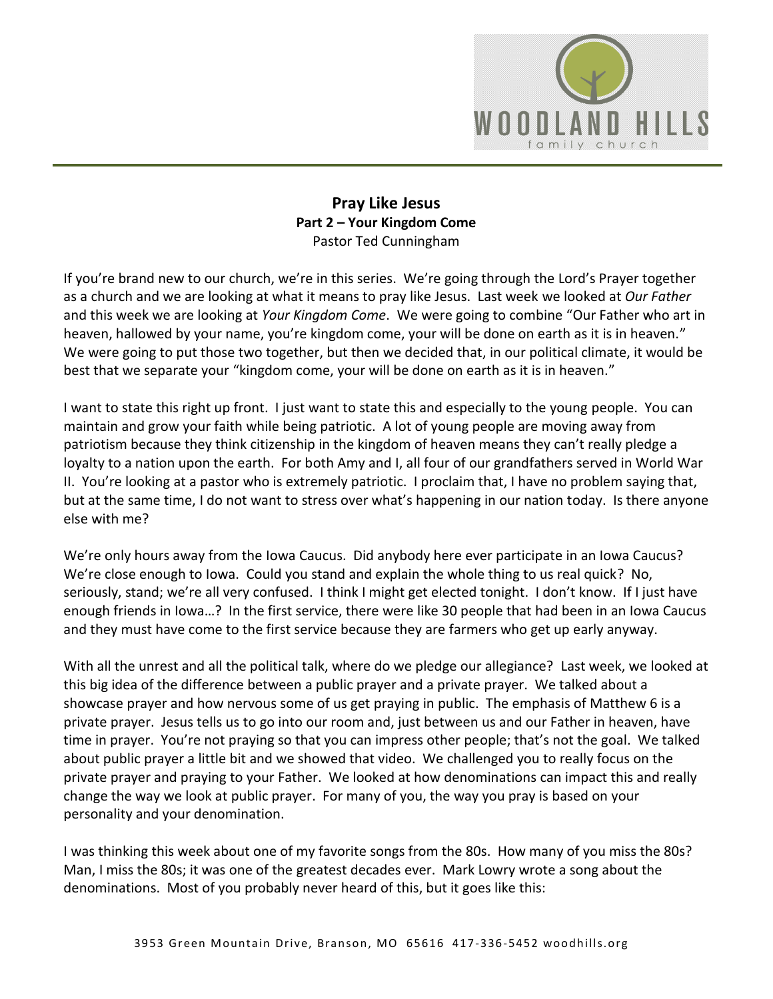

## **Pray Like Jesus Part 2 – Your Kingdom Come**  Pastor Ted Cunningham

If you're brand new to our church, we're in this series. We're going through the Lord's Prayer together as a church and we are looking at what it means to pray like Jesus. Last week we looked at *Our Father* and this week we are looking at *Your Kingdom Come*. We were going to combine "Our Father who art in heaven, hallowed by your name, you're kingdom come, your will be done on earth as it is in heaven." We were going to put those two together, but then we decided that, in our political climate, it would be best that we separate your "kingdom come, your will be done on earth as it is in heaven."

I want to state this right up front. I just want to state this and especially to the young people. You can maintain and grow your faith while being patriotic. A lot of young people are moving away from patriotism because they think citizenship in the kingdom of heaven means they can't really pledge a loyalty to a nation upon the earth. For both Amy and I, all four of our grandfathers served in World War II. You're looking at a pastor who is extremely patriotic. I proclaim that, I have no problem saying that, but at the same time, I do not want to stress over what's happening in our nation today. Is there anyone else with me?

We're only hours away from the Iowa Caucus. Did anybody here ever participate in an Iowa Caucus? We're close enough to Iowa. Could you stand and explain the whole thing to us real quick? No, seriously, stand; we're all very confused. I think I might get elected tonight. I don't know. If I just have enough friends in Iowa…? In the first service, there were like 30 people that had been in an Iowa Caucus and they must have come to the first service because they are farmers who get up early anyway.

With all the unrest and all the political talk, where do we pledge our allegiance? Last week, we looked at this big idea of the difference between a public prayer and a private prayer. We talked about a showcase prayer and how nervous some of us get praying in public. The emphasis of Matthew 6 is a private prayer. Jesus tells us to go into our room and, just between us and our Father in heaven, have time in prayer. You're not praying so that you can impress other people; that's not the goal. We talked about public prayer a little bit and we showed that video. We challenged you to really focus on the private prayer and praying to your Father. We looked at how denominations can impact this and really change the way we look at public prayer. For many of you, the way you pray is based on your personality and your denomination.

I was thinking this week about one of my favorite songs from the 80s. How many of you miss the 80s? Man, I miss the 80s; it was one of the greatest decades ever. Mark Lowry wrote a song about the denominations. Most of you probably never heard of this, but it goes like this: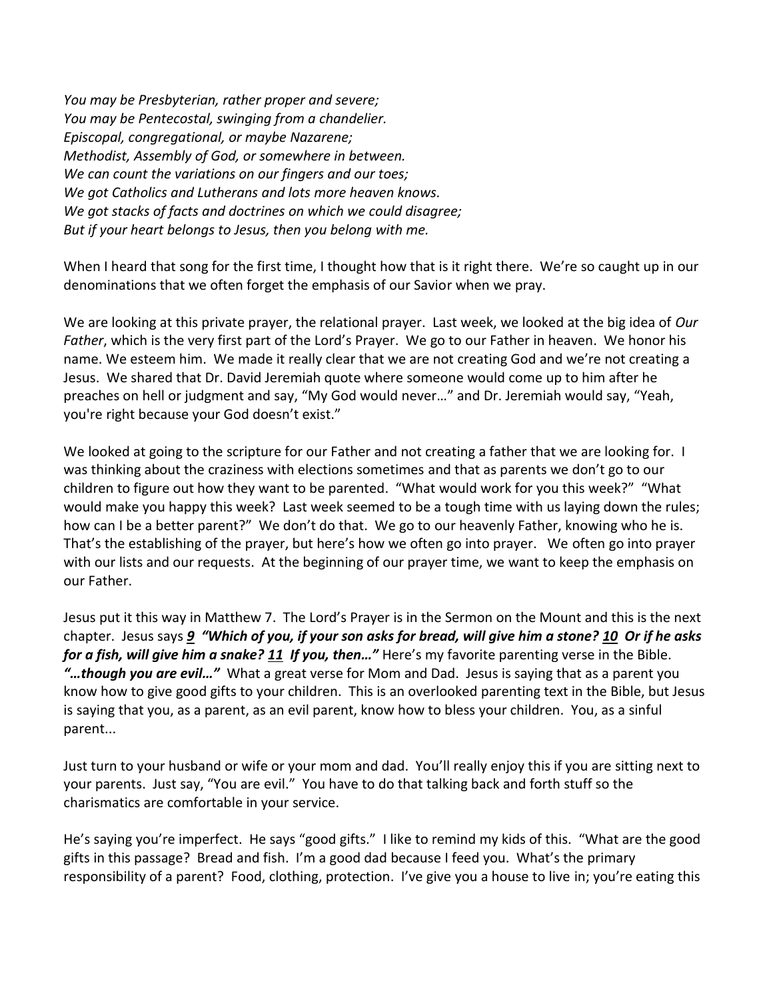*You may be Presbyterian, rather proper and severe; You may be Pentecostal, swinging from a chandelier. Episcopal, congregational, or maybe Nazarene; Methodist, Assembly of God, or somewhere in between. We can count the variations on our fingers and our toes; We got Catholics and Lutherans and lots more heaven knows. We got stacks of facts and doctrines on which we could disagree; But if your heart belongs to Jesus, then you belong with me.* 

When I heard that song for the first time, I thought how that is it right there. We're so caught up in our denominations that we often forget the emphasis of our Savior when we pray.

We are looking at this private prayer, the relational prayer. Last week, we looked at the big idea of *Our Father*, which is the very first part of the Lord's Prayer. We go to our Father in heaven. We honor his name. We esteem him. We made it really clear that we are not creating God and we're not creating a Jesus. We shared that Dr. David Jeremiah quote where someone would come up to him after he preaches on hell or judgment and say, "My God would never…" and Dr. Jeremiah would say, "Yeah, you're right because your God doesn't exist."

We looked at going to the scripture for our Father and not creating a father that we are looking for. I was thinking about the craziness with elections sometimes and that as parents we don't go to our children to figure out how they want to be parented. "What would work for you this week?" "What would make you happy this week? Last week seemed to be a tough time with us laying down the rules; how can I be a better parent?" We don't do that. We go to our heavenly Father, knowing who he is. That's the establishing of the prayer, but here's how we often go into prayer. We often go into prayer with our lists and our requests. At the beginning of our prayer time, we want to keep the emphasis on our Father.

Jesus put it this way in Matthew 7. The Lord's Prayer is in the Sermon on the Mount and this is the next chapter. Jesus says *[9](http://www.studylight.org/desk/?q=mt%207:9&t1=en_niv&sr=1) "Which of you, if your son asks for bread, will give him a stone? [10](http://www.studylight.org/desk/?q=mt%207:10&t1=en_niv&sr=1) Or if he asks for a fish, will give him a snake? [11](http://www.studylight.org/desk/?q=mt%207:11&t1=en_niv&sr=1) If you, then…"* Here's my favorite parenting verse in the Bible. *"…though you are evil…"* What a great verse for Mom and Dad. Jesus is saying that as a parent you know how to give good gifts to your children. This is an overlooked parenting text in the Bible, but Jesus is saying that you, as a parent, as an evil parent, know how to bless your children. You, as a sinful parent...

Just turn to your husband or wife or your mom and dad. You'll really enjoy this if you are sitting next to your parents. Just say, "You are evil." You have to do that talking back and forth stuff so the charismatics are comfortable in your service.

He's saying you're imperfect. He says "good gifts." I like to remind my kids of this. "What are the good gifts in this passage? Bread and fish. I'm a good dad because I feed you. What's the primary responsibility of a parent? Food, clothing, protection. I've give you a house to live in; you're eating this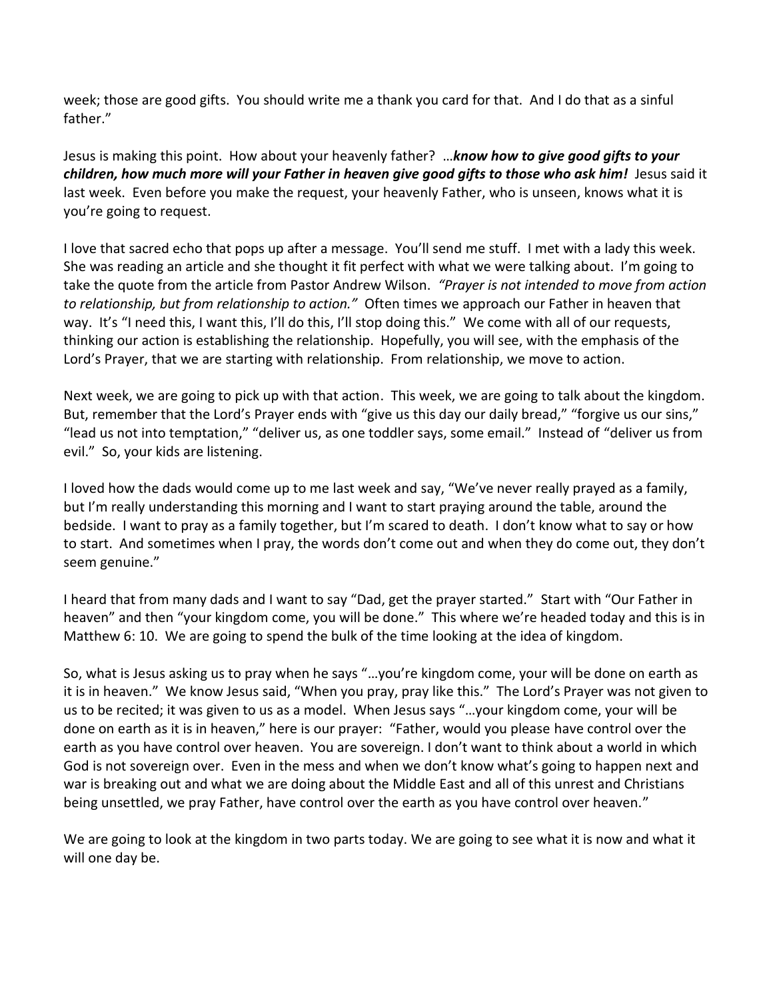week; those are good gifts. You should write me a thank you card for that. And I do that as a sinful father."

Jesus is making this point. How about your heavenly father? …*know how to give good gifts to your children, how much more will your Father in heaven give good gifts to those who ask him!* Jesus said it last week. Even before you make the request, your heavenly Father, who is unseen, knows what it is you're going to request.

I love that sacred echo that pops up after a message. You'll send me stuff. I met with a lady this week. She was reading an article and she thought it fit perfect with what we were talking about. I'm going to take the quote from the article from Pastor Andrew Wilson. *"Prayer is not intended to move from action to relationship, but from relationship to action."* Often times we approach our Father in heaven that way. It's "I need this, I want this, I'll do this, I'll stop doing this." We come with all of our requests, thinking our action is establishing the relationship. Hopefully, you will see, with the emphasis of the Lord's Prayer, that we are starting with relationship. From relationship, we move to action.

Next week, we are going to pick up with that action. This week, we are going to talk about the kingdom. But, remember that the Lord's Prayer ends with "give us this day our daily bread," "forgive us our sins," "lead us not into temptation," "deliver us, as one toddler says, some email." Instead of "deliver us from evil." So, your kids are listening.

I loved how the dads would come up to me last week and say, "We've never really prayed as a family, but I'm really understanding this morning and I want to start praying around the table, around the bedside. I want to pray as a family together, but I'm scared to death. I don't know what to say or how to start. And sometimes when I pray, the words don't come out and when they do come out, they don't seem genuine."

I heard that from many dads and I want to say "Dad, get the prayer started." Start with "Our Father in heaven" and then "your kingdom come, you will be done." This where we're headed today and this is in Matthew 6: 10. We are going to spend the bulk of the time looking at the idea of kingdom.

So, what is Jesus asking us to pray when he says "…you're kingdom come, your will be done on earth as it is in heaven." We know Jesus said, "When you pray, pray like this." The Lord's Prayer was not given to us to be recited; it was given to us as a model. When Jesus says "…your kingdom come, your will be done on earth as it is in heaven," here is our prayer: "Father, would you please have control over the earth as you have control over heaven. You are sovereign. I don't want to think about a world in which God is not sovereign over. Even in the mess and when we don't know what's going to happen next and war is breaking out and what we are doing about the Middle East and all of this unrest and Christians being unsettled, we pray Father, have control over the earth as you have control over heaven."

We are going to look at the kingdom in two parts today. We are going to see what it is now and what it will one day be.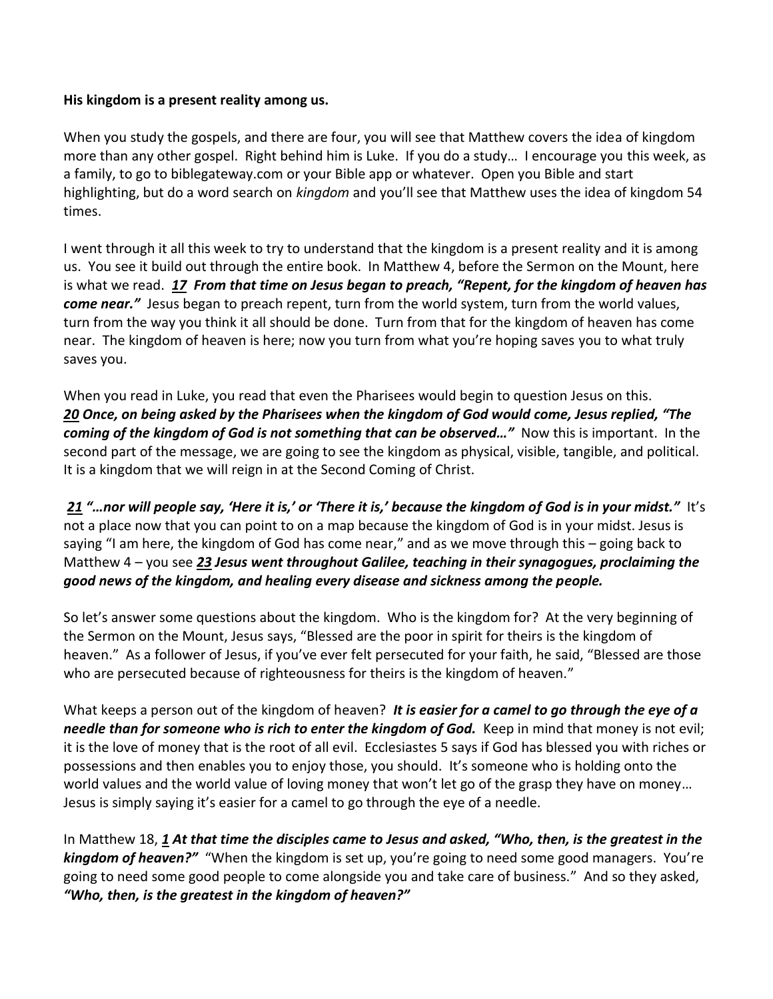## **His kingdom is a present reality among us.**

When you study the gospels, and there are four, you will see that Matthew covers the idea of kingdom more than any other gospel. Right behind him is Luke. If you do a study… I encourage you this week, as a family, to go to biblegateway.com or your Bible app or whatever. Open you Bible and start highlighting, but do a word search on *kingdom* and you'll see that Matthew uses the idea of kingdom 54 times.

I went through it all this week to try to understand that the kingdom is a present reality and it is among us. You see it build out through the entire book. In Matthew 4, before the Sermon on the Mount, here is what we read. *[17](http://www.studylight.org/desk/?q=mt%204:17&t1=en_niv&sr=1) From that time on Jesus began to preach, "Repent, for the kingdom of heaven has come near."* Jesus began to preach repent, turn from the world system, turn from the world values, turn from the way you think it all should be done. Turn from that for the kingdom of heaven has come near. The kingdom of heaven is here; now you turn from what you're hoping saves you to what truly saves you.

When you read in Luke, you read that even the Pharisees would begin to question Jesus on this. *[20](http://www.studylight.org/desk/?q=lu%2017:20&t1=en_niv&sr=1) Once, on being asked by the Pharisees when the kingdom of God would come, Jesus replied, "The coming of the kingdom of God is not something that can be observed…"* Now this is important. In the second part of the message, we are going to see the kingdom as physical, visible, tangible, and political. It is a kingdom that we will reign in at the Second Coming of Christ.

*[21](http://www.studylight.org/desk/?q=lu%2017:21&t1=en_niv&sr=1) "…nor will people say, 'Here it is,' or 'There it is,' because the kingdom of God is in your midst."* It's not a place now that you can point to on a map because the kingdom of God is in your midst. Jesus is saying "I am here, the kingdom of God has come near," and as we move through this – going back to Matthew 4 – you see *[23](http://www.studylight.org/desk/?q=mt%204:23&t1=en_niv&sr=1) Jesus went throughout Galilee, teaching in their synagogues, proclaiming the good news of the kingdom, and healing every disease and sickness among the people.*

So let's answer some questions about the kingdom. Who is the kingdom for? At the very beginning of the Sermon on the Mount, Jesus says, "Blessed are the poor in spirit for theirs is the kingdom of heaven." As a follower of Jesus, if you've ever felt persecuted for your faith, he said, "Blessed are those who are persecuted because of righteousness for theirs is the kingdom of heaven."

What keeps a person out of the kingdom of heaven? It is easier for a camel to go through the eye of a *needle than for someone who is rich to enter the kingdom of God.* Keep in mind that money is not evil; it is the love of money that is the root of all evil. Ecclesiastes 5 says if God has blessed you with riches or possessions and then enables you to enjoy those, you should. It's someone who is holding onto the world values and the world value of loving money that won't let go of the grasp they have on money… Jesus is simply saying it's easier for a camel to go through the eye of a needle.

In Matthew 18, *[1](http://www.studylight.org/desk/?q=mt%2018:1&t1=en_niv&sr=1) At that time the disciples came to Jesus and asked, "Who, then, is the greatest in the kingdom of heaven?"* "When the kingdom is set up, you're going to need some good managers. You're going to need some good people to come alongside you and take care of business." And so they asked, *"Who, then, is the greatest in the kingdom of heaven?"*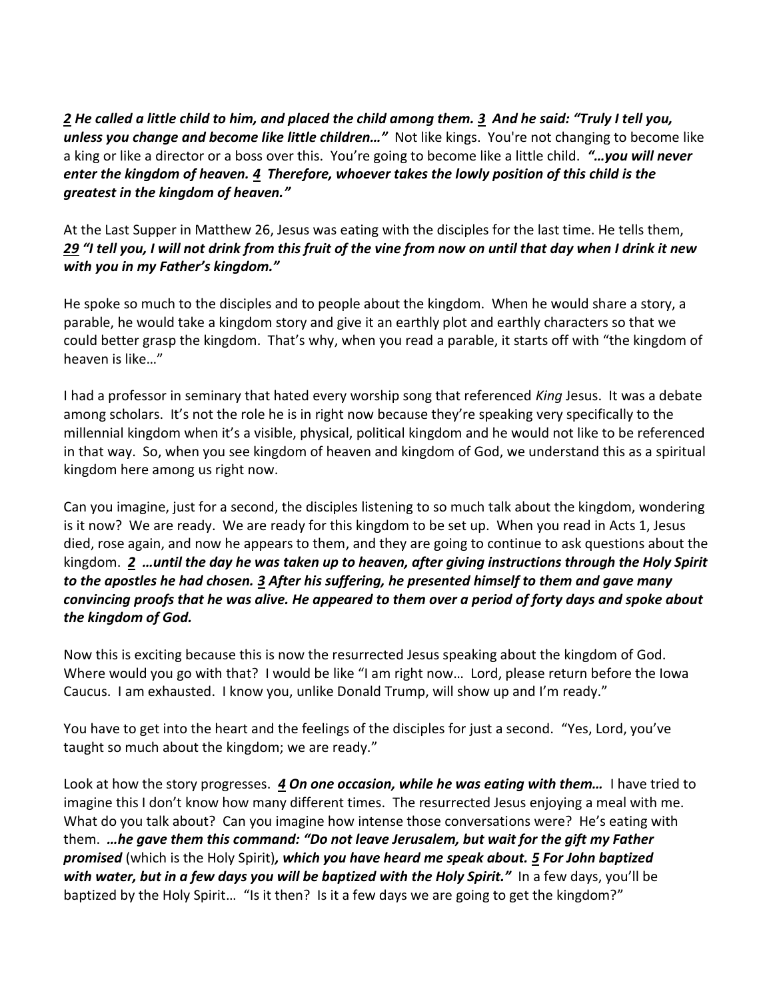*[2](http://www.studylight.org/desk/?q=mt%2018:2&t1=en_niv&sr=1) He called a little child to him, and placed the child among them. [3](http://www.studylight.org/desk/?q=mt%2018:3&t1=en_niv&sr=1) And he said: "Truly I tell you, unless you change and become like little children…"* Not like kings. You're not changing to become like a king or like a director or a boss over this. You're going to become like a little child. *"…you will never enter the kingdom of heaven. [4](http://www.studylight.org/desk/?q=mt%2018:4&t1=en_niv&sr=1) Therefore, whoever takes the lowly position of this child is the greatest in the kingdom of heaven."* 

At the Last Supper in Matthew 26, Jesus was eating with the disciples for the last time. He tells them, *[29](http://www.studylight.org/desk/?q=mt%2026:29&t1=en_niv&sr=1) "I tell you, I will not drink from this fruit of the vine from now on until that day when I drink it new with you in my Father's kingdom."*

He spoke so much to the disciples and to people about the kingdom. When he would share a story, a parable, he would take a kingdom story and give it an earthly plot and earthly characters so that we could better grasp the kingdom. That's why, when you read a parable, it starts off with "the kingdom of heaven is like…"

I had a professor in seminary that hated every worship song that referenced *King* Jesus. It was a debate among scholars. It's not the role he is in right now because they're speaking very specifically to the millennial kingdom when it's a visible, physical, political kingdom and he would not like to be referenced in that way. So, when you see kingdom of heaven and kingdom of God, we understand this as a spiritual kingdom here among us right now.

Can you imagine, just for a second, the disciples listening to so much talk about the kingdom, wondering is it now? We are ready. We are ready for this kingdom to be set up. When you read in Acts 1, Jesus died, rose again, and now he appears to them, and they are going to continue to ask questions about the kingdom. *[2](http://www.studylight.org/desk/?q=ac%201:2&t1=en_niv&sr=1) …until the day he was taken up to heaven, after giving instructions through the Holy Spirit to the apostles he had chosen. [3](http://www.studylight.org/desk/?q=ac%201:3&t1=en_niv&sr=1) After his suffering, he presented himself to them and gave many convincing proofs that he was alive. He appeared to them over a period of forty days and spoke about the kingdom of God.*

Now this is exciting because this is now the resurrected Jesus speaking about the kingdom of God. Where would you go with that? I would be like "I am right now… Lord, please return before the Iowa Caucus. I am exhausted. I know you, unlike Donald Trump, will show up and I'm ready."

You have to get into the heart and the feelings of the disciples for just a second. "Yes, Lord, you've taught so much about the kingdom; we are ready."

Look at how the story progresses. *[4](http://www.studylight.org/desk/?q=ac%201:4&t1=en_niv&sr=1) On one occasion, while he was eating with them…* I have tried to imagine this I don't know how many different times. The resurrected Jesus enjoying a meal with me. What do you talk about? Can you imagine how intense those conversations were? He's eating with them. *…he gave them this command: "Do not leave Jerusalem, but wait for the gift my Father promised* (which is the Holy Spirit)*, which you have heard me speak about. [5](http://www.studylight.org/desk/?q=ac%201:5&t1=en_niv&sr=1) For John baptized with water, but in a few days you will be baptized with the Holy Spirit."* In a few days, you'll be baptized by the Holy Spirit... "Is it then? Is it a few days we are going to get the kingdom?"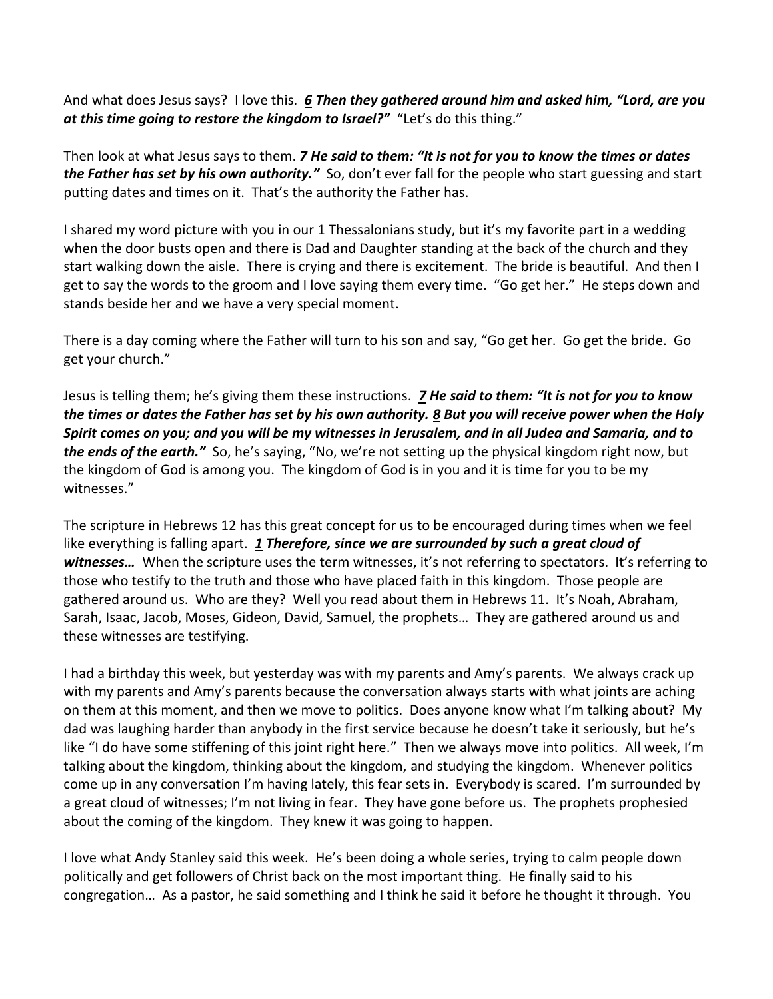And what does Jesus says? I love this. *[6](http://www.studylight.org/desk/?q=ac%201:6&t1=en_niv&sr=1) Then they gathered around him and asked him, "Lord, are you at this time going to restore the kingdom to Israel?"* "Let's do this thing."

Then look at what Jesus says to them. *[7](http://www.studylight.org/desk/?q=ac%201:7&t1=en_niv&sr=1) He said to them: "It is not for you to know the times or dates the Father has set by his own authority."* So, don't ever fall for the people who start guessing and start putting dates and times on it. That's the authority the Father has.

I shared my word picture with you in our 1 Thessalonians study, but it's my favorite part in a wedding when the door busts open and there is Dad and Daughter standing at the back of the church and they start walking down the aisle. There is crying and there is excitement. The bride is beautiful. And then I get to say the words to the groom and I love saying them every time. "Go get her." He steps down and stands beside her and we have a very special moment.

There is a day coming where the Father will turn to his son and say, "Go get her. Go get the bride. Go get your church."

Jesus is telling them; he's giving them these instructions. *[7](http://www.studylight.org/desk/?q=ac%201:7&t1=en_niv&sr=1) He said to them: "It is not for you to know the times or dates the Father has set by his own authority. [8](http://www.studylight.org/desk/?q=ac%201:8&t1=en_niv&sr=1) But you will receive power when the Holy Spirit comes on you; and you will be my witnesses in Jerusalem, and in all Judea and Samaria, and to the ends of the earth."* So, he's saying, "No, we're not setting up the physical kingdom right now, but the kingdom of God is among you. The kingdom of God is in you and it is time for you to be my witnesses."

The scripture in Hebrews 12 has this great concept for us to be encouraged during times when we feel like everything is falling apart. *[1](http://www.studylight.org/desk/?q=heb%2012:1&t1=en_niv&sr=1) Therefore, since we are surrounded by such a great cloud of*  witnesses... When the scripture uses the term witnesses, it's not referring to spectators. It's referring to those who testify to the truth and those who have placed faith in this kingdom. Those people are gathered around us. Who are they? Well you read about them in Hebrews 11. It's Noah, Abraham, Sarah, Isaac, Jacob, Moses, Gideon, David, Samuel, the prophets… They are gathered around us and these witnesses are testifying.

I had a birthday this week, but yesterday was with my parents and Amy's parents. We always crack up with my parents and Amy's parents because the conversation always starts with what joints are aching on them at this moment, and then we move to politics. Does anyone know what I'm talking about? My dad was laughing harder than anybody in the first service because he doesn't take it seriously, but he's like "I do have some stiffening of this joint right here." Then we always move into politics. All week, I'm talking about the kingdom, thinking about the kingdom, and studying the kingdom. Whenever politics come up in any conversation I'm having lately, this fear sets in. Everybody is scared. I'm surrounded by a great cloud of witnesses; I'm not living in fear. They have gone before us. The prophets prophesied about the coming of the kingdom. They knew it was going to happen.

I love what Andy Stanley said this week. He's been doing a whole series, trying to calm people down politically and get followers of Christ back on the most important thing. He finally said to his congregation… As a pastor, he said something and I think he said it before he thought it through. You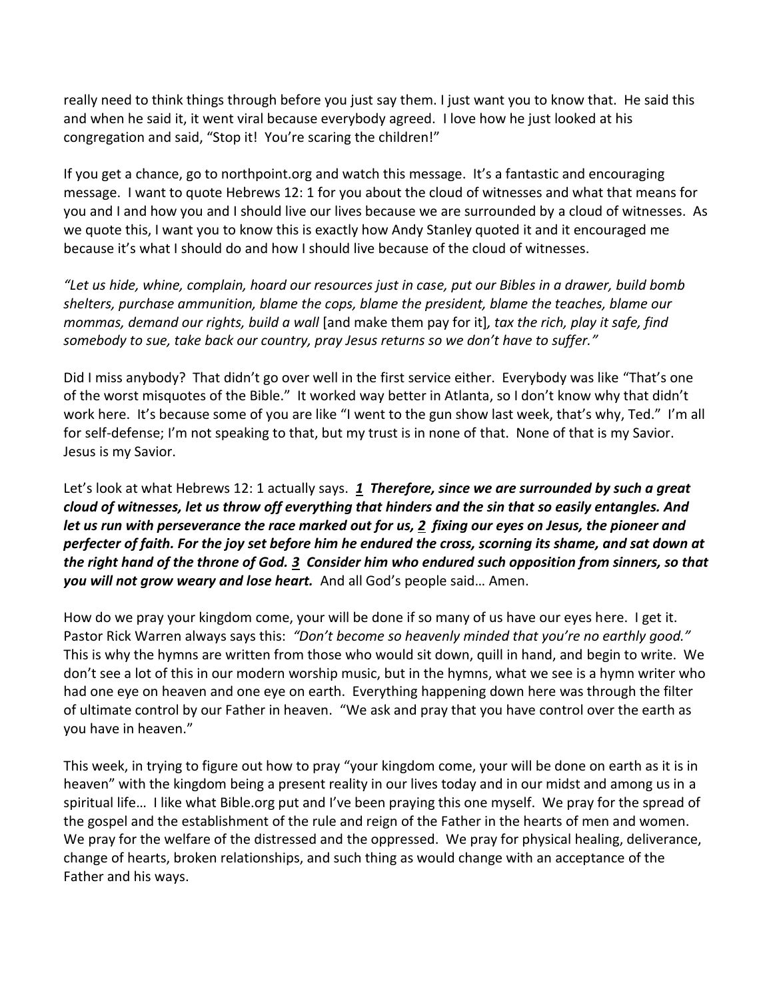really need to think things through before you just say them. I just want you to know that. He said this and when he said it, it went viral because everybody agreed. I love how he just looked at his congregation and said, "Stop it! You're scaring the children!"

If you get a chance, go to northpoint.org and watch this message. It's a fantastic and encouraging message. I want to quote Hebrews 12: 1 for you about the cloud of witnesses and what that means for you and I and how you and I should live our lives because we are surrounded by a cloud of witnesses. As we quote this, I want you to know this is exactly how Andy Stanley quoted it and it encouraged me because it's what I should do and how I should live because of the cloud of witnesses.

*"Let us hide, whine, complain, hoard our resources just in case, put our Bibles in a drawer, build bomb shelters, purchase ammunition, blame the cops, blame the president, blame the teaches, blame our mommas, demand our rights, build a wall* [and make them pay for it]*, tax the rich, play it safe, find somebody to sue, take back our country, pray Jesus returns so we don't have to suffer."*

Did I miss anybody? That didn't go over well in the first service either. Everybody was like "That's one of the worst misquotes of the Bible." It worked way better in Atlanta, so I don't know why that didn't work here. It's because some of you are like "I went to the gun show last week, that's why, Ted." I'm all for self-defense; I'm not speaking to that, but my trust is in none of that. None of that is my Savior. Jesus is my Savior.

Let's look at what Hebrews 12: 1 actually says. *[1](http://www.studylight.org/desk/?q=heb%2012:1&t1=en_niv&sr=1) Therefore, since we are surrounded by such a great cloud of witnesses, let us throw off everything that hinders and the sin that so easily entangles. And let us run with perseverance the race marked out for us, [2](http://www.studylight.org/desk/?q=heb%2012:2&t1=en_niv&sr=1) fixing our eyes on Jesus, the pioneer and perfecter of faith. For the joy set before him he endured the cross, scorning its shame, and sat down at the right hand of the throne of God. [3](http://www.studylight.org/desk/?q=heb%2012:3&t1=en_niv&sr=1) Consider him who endured such opposition from sinners, so that you will not grow weary and lose heart.* And all God's people said… Amen.

How do we pray your kingdom come, your will be done if so many of us have our eyes here. I get it. Pastor Rick Warren always says this: *"Don't become so heavenly minded that you're no earthly good."* This is why the hymns are written from those who would sit down, quill in hand, and begin to write. We don't see a lot of this in our modern worship music, but in the hymns, what we see is a hymn writer who had one eye on heaven and one eye on earth. Everything happening down here was through the filter of ultimate control by our Father in heaven. "We ask and pray that you have control over the earth as you have in heaven."

This week, in trying to figure out how to pray "your kingdom come, your will be done on earth as it is in heaven" with the kingdom being a present reality in our lives today and in our midst and among us in a spiritual life… I like what Bible.org put and I've been praying this one myself. We pray for the spread of the gospel and the establishment of the rule and reign of the Father in the hearts of men and women. We pray for the welfare of the distressed and the oppressed. We pray for physical healing, deliverance, change of hearts, broken relationships, and such thing as would change with an acceptance of the Father and his ways.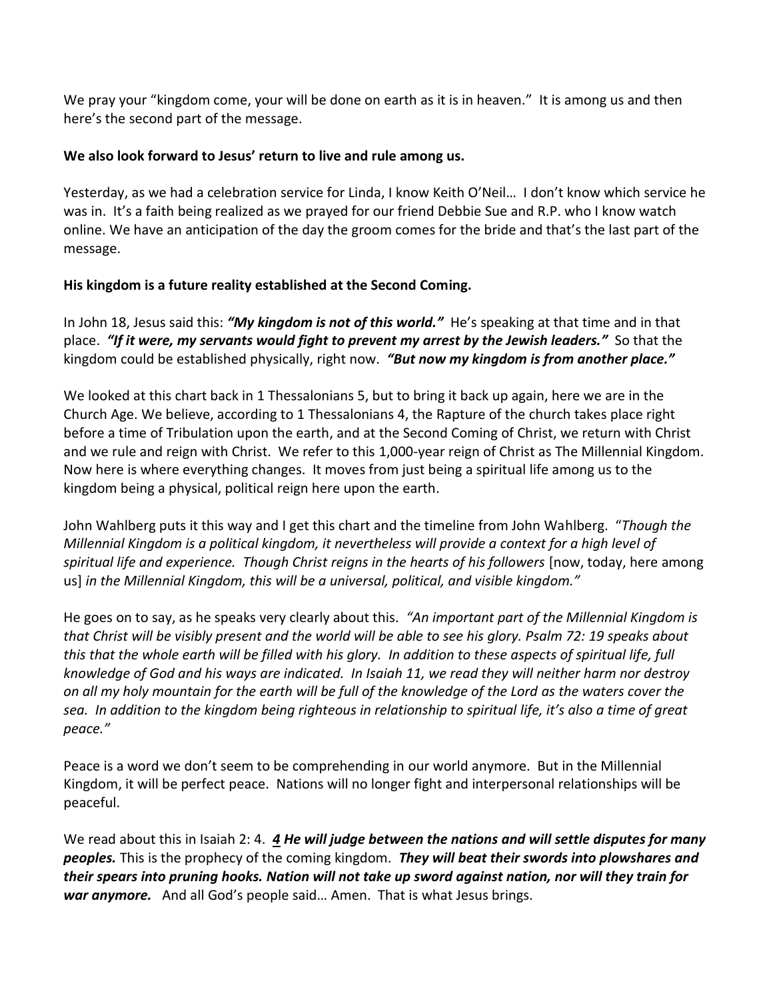We pray your "kingdom come, your will be done on earth as it is in heaven." It is among us and then here's the second part of the message.

## **We also look forward to Jesus' return to live and rule among us.**

Yesterday, as we had a celebration service for Linda, I know Keith O'Neil… I don't know which service he was in. It's a faith being realized as we prayed for our friend Debbie Sue and R.P. who I know watch online. We have an anticipation of the day the groom comes for the bride and that's the last part of the message.

## **His kingdom is a future reality established at the Second Coming.**

In John 18, Jesus said this: *"My kingdom is not of this world."* He's speaking at that time and in that place. *"If it were, my servants would fight to prevent my arrest by the Jewish leaders."* So that the kingdom could be established physically, right now. *"But now my kingdom is from another place."*

We looked at this chart back in 1 Thessalonians 5, but to bring it back up again, here we are in the Church Age. We believe, according to 1 Thessalonians 4, the Rapture of the church takes place right before a time of Tribulation upon the earth, and at the Second Coming of Christ, we return with Christ and we rule and reign with Christ. We refer to this 1,000-year reign of Christ as The Millennial Kingdom. Now here is where everything changes. It moves from just being a spiritual life among us to the kingdom being a physical, political reign here upon the earth.

John Wahlberg puts it this way and I get this chart and the timeline from John Wahlberg. "*Though the Millennial Kingdom is a political kingdom, it nevertheless will provide a context for a high level of*  spiritual life and experience. Though Christ reigns in the hearts of his followers [now, today, here among us] *in the Millennial Kingdom, this will be a universal, political, and visible kingdom."*

He goes on to say, as he speaks very clearly about this. *"An important part of the Millennial Kingdom is that Christ will be visibly present and the world will be able to see his glory. Psalm 72: 19 speaks about*  this that the whole earth will be filled with his glory. In addition to these aspects of spiritual life, full *knowledge of God and his ways are indicated. In Isaiah 11, we read they will neither harm nor destroy on all my holy mountain for the earth will be full of the knowledge of the Lord as the waters cover the sea. In addition to the kingdom being righteous in relationship to spiritual life, it's also a time of great peace."* 

Peace is a word we don't seem to be comprehending in our world anymore. But in the Millennial Kingdom, it will be perfect peace. Nations will no longer fight and interpersonal relationships will be peaceful.

We read about this in Isaiah 2: 4. *[4](http://www.studylight.org/desk/?q=isa%202:4&t1=en_niv&sr=1) He will judge between the nations and will settle disputes for many peoples.* This is the prophecy of the coming kingdom. *They will beat their swords into plowshares and their spears into pruning hooks. Nation will not take up sword against nation, nor will they train for war anymore.* And all God's people said… Amen. That is what Jesus brings.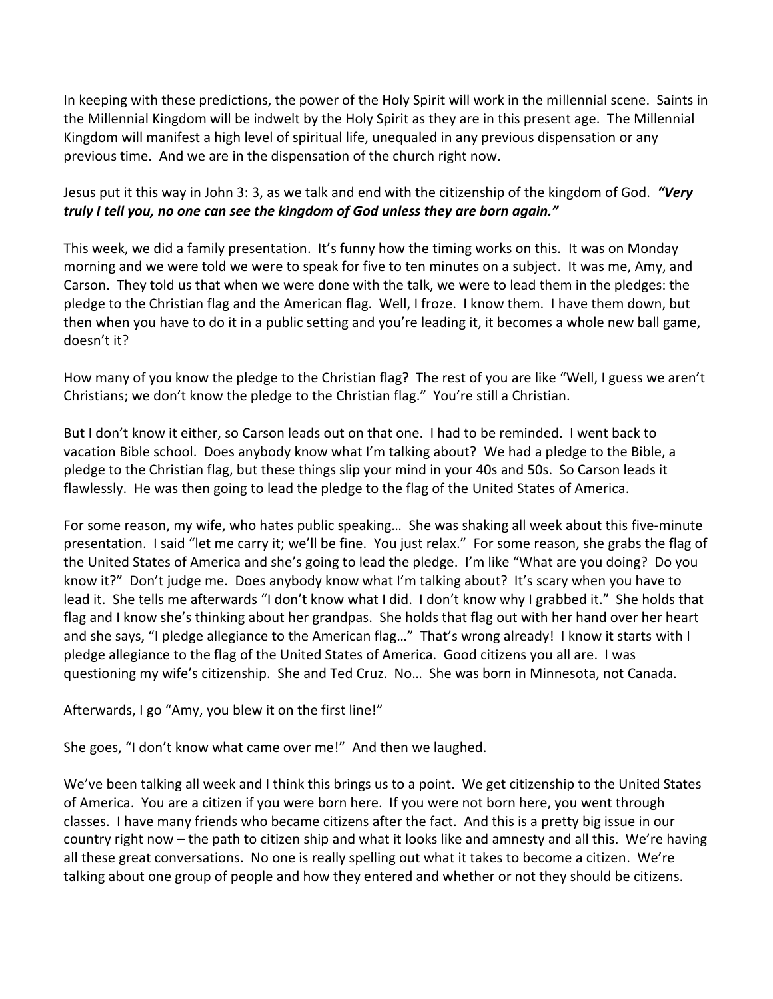In keeping with these predictions, the power of the Holy Spirit will work in the millennial scene. Saints in the Millennial Kingdom will be indwelt by the Holy Spirit as they are in this present age. The Millennial Kingdom will manifest a high level of spiritual life, unequaled in any previous dispensation or any previous time. And we are in the dispensation of the church right now.

Jesus put it this way in John 3: 3, as we talk and end with the citizenship of the kingdom of God. *"Very truly I tell you, no one can see the kingdom of God unless they are born again."*

This week, we did a family presentation. It's funny how the timing works on this. It was on Monday morning and we were told we were to speak for five to ten minutes on a subject. It was me, Amy, and Carson. They told us that when we were done with the talk, we were to lead them in the pledges: the pledge to the Christian flag and the American flag. Well, I froze. I know them. I have them down, but then when you have to do it in a public setting and you're leading it, it becomes a whole new ball game, doesn't it?

How many of you know the pledge to the Christian flag? The rest of you are like "Well, I guess we aren't Christians; we don't know the pledge to the Christian flag." You're still a Christian.

But I don't know it either, so Carson leads out on that one. I had to be reminded. I went back to vacation Bible school. Does anybody know what I'm talking about? We had a pledge to the Bible, a pledge to the Christian flag, but these things slip your mind in your 40s and 50s. So Carson leads it flawlessly. He was then going to lead the pledge to the flag of the United States of America.

For some reason, my wife, who hates public speaking… She was shaking all week about this five-minute presentation. I said "let me carry it; we'll be fine. You just relax." For some reason, she grabs the flag of the United States of America and she's going to lead the pledge. I'm like "What are you doing? Do you know it?" Don't judge me. Does anybody know what I'm talking about? It's scary when you have to lead it. She tells me afterwards "I don't know what I did. I don't know why I grabbed it." She holds that flag and I know she's thinking about her grandpas. She holds that flag out with her hand over her heart and she says, "I pledge allegiance to the American flag…" That's wrong already! I know it starts with I pledge allegiance to the flag of the United States of America. Good citizens you all are. I was questioning my wife's citizenship. She and Ted Cruz. No… She was born in Minnesota, not Canada.

Afterwards, I go "Amy, you blew it on the first line!"

She goes, "I don't know what came over me!" And then we laughed.

We've been talking all week and I think this brings us to a point. We get citizenship to the United States of America. You are a citizen if you were born here. If you were not born here, you went through classes. I have many friends who became citizens after the fact. And this is a pretty big issue in our country right now – the path to citizen ship and what it looks like and amnesty and all this. We're having all these great conversations. No one is really spelling out what it takes to become a citizen. We're talking about one group of people and how they entered and whether or not they should be citizens.